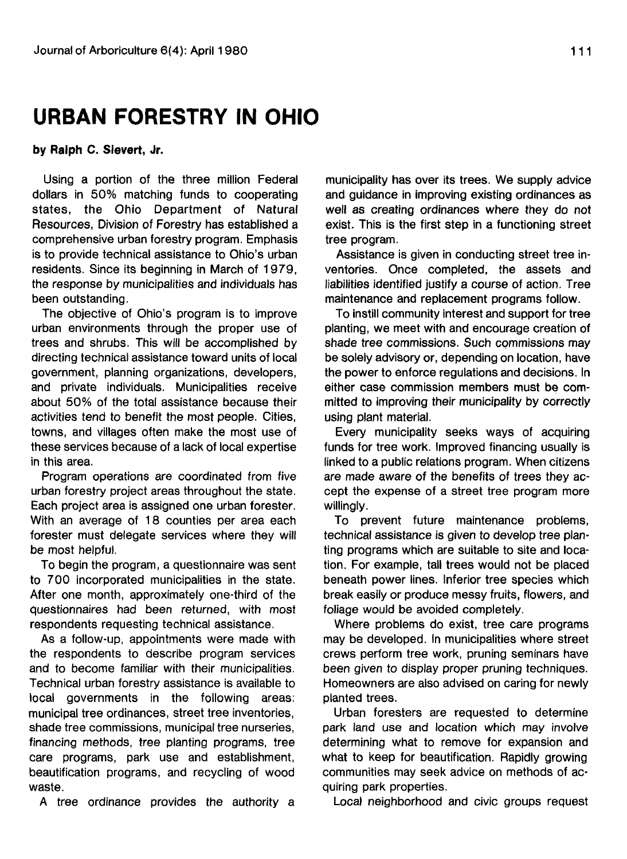## **URBAN FORESTRY IN OHIO**

**by Ralph C. Sievert, Jr.**

Using a portion of the three million Federal dollars in 50% matching funds to cooperating states, the Ohio Department of Natural Resources, Division of Forestry has established a comprehensive urban forestry program. Emphasis is to provide technical assistance to Ohio's urban residents. Since its beginning in March of 1979, the response by municipalities and individuals has been outstanding.

The objective of Ohio's program is to improve urban environments through the proper use of trees and shrubs. This will be accomplished by directing technical assistance toward units of local government, planning organizations, developers, and private individuals. Municipalities receive about 50% of the total assistance because their activities tend to benefit the most people. Cities, towns, and villages often make the most use of these services because of a lack of local expertise in this area.

Program operations are coordinated from five urban forestry project areas throughout the state. Each project area is assigned one urban forester. With an average of 18 counties per area each forester must delegate services where they will be most helpful.

To begin the program, a questionnaire was sent to 700 incorporated municipalities in the state. After one month, approximately one-third of the questionnaires had been returned, with most respondents requesting technical assistance.

As a follow-up, appointments were made with the respondents to describe program services and to become familiar with their municipalities. Technical urban forestry assistance is available to local governments in the following areas: municipal tree ordinances, street tree inventories, shade tree commissions, municipal tree nurseries, financing methods, tree planting programs, tree care programs, park use and establishment, beautification programs, and recycling of wood waste.

A tree ordinance provides the authority a

municipality has over its trees. We supply advice and guidance in improving existing ordinances as well as creating ordinances where they do not exist. This is the first step in a functioning street tree program.

Assistance is given in conducting street tree inventories. Once completed, the assets and liabilities identified justify a course of action. Tree maintenance and replacement programs follow.

To instill community interest and support for tree planting, we meet with and encourage creation of shade tree commissions. Such commissions may be solely advisory or, depending on location, have the power to enforce regulations and decisions. In either case commission members must be committed to improving their municipality by correctly using plant material.

Every municipality seeks ways of acquiring funds for tree work. Improved financing usually is linked to a public relations program. When citizens are made aware of the benefits of trees they accept the expense of a street tree program more willingly.

To prevent future maintenance problems, technical assistance is given to develop tree planting programs which are suitable to site and location. For example, tall trees would not be placed beneath power lines. Inferior tree species which break easily or produce messy fruits, flowers, and foliage would be avoided completely.

Where problems do exist, tree care programs may be developed. In municipalities where street crews perform tree work, pruning seminars have been given to display proper pruning techniques. Homeowners are also advised on caring for newly planted trees.

Urban foresters are requested to determine park land use and location which may involve determining what to remove for expansion and what to keep for beautification. Rapidly growing communities may seek advice on methods of acquiring park properties.

Local neighborhood and civic groups request